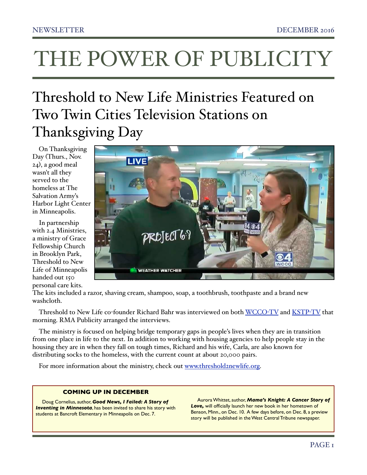# THE POWER OF PUBLICITY

## Threshold to New Life Ministries Featured on Two Twin Cities Television Stations on Thanksgiving Day

On Thanksgiving Day (Thurs., Nov. 24), a good meal wasn't all they served to the homeless at The Salvation Army's Harbor Light Center in Minneapolis.

In partnership with 2.4 Ministries, a ministry of Grace Fellowship Church in Brooklyn Park, Threshold to New Life of Minneapolis handed out 150 personal care kits.



The kits included a razor, shaving cream, shampoo, soap, a toothbrush, toothpaste and a brand new washcloth.

Threshold to New Life co-founder Richard Bahr was interviewed on both [WCCO](https://youtu.be/2XQk74PV5uY)-TV and [KSTP](https://youtu.be/nafm__fWeuE)-TV that morning. RMA Publicity arranged the interviews.

The ministry is focused on helping bridge temporary gaps in people's lives when they are in transition from one place in life to the next. In addition to working with housing agencies to help people stay in the housing they are in when they fall on tough times, Richard and his wife, Carla, are also known for distributing socks to the homeless, with the current count at about 20,000 pairs.

For more information about the ministry, check out [www.threshold2newlife.org.](http://www.threshold2newlife.org)

#### **COMING UP IN DECEMBER**

Doug Cornelius, author, *Good News, I Failed: A Story of Inventing in Minnesota*, has been invited to share his story with students at Bancroft Elementary in Minneapolis on Dec. 7.

Aurora Whittet, author, *Mama's Knight: A Cancer Story of Love,* will officially launch her new book in her hometown of Benson, Minn., on Dec. 10. A few days before, on Dec. 8, a preview story will be published in the West Central Tribune newspaper.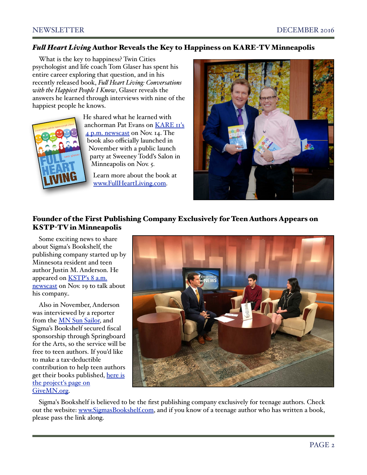### *Ful Heart Living* Author Reveals the Key to Happiness on KARE-TV Minneapolis

What is the key to happiness? Twin Cities psychologist and life coach Tom Glaser has spent his entire career exploring that question, and in his recently released book, *Ful Heart Living: Conversations with the Happiest People I Know*, Glaser reveals the answers he learned through interviews with nine of the happiest people he knows.



He shared what he learned with anchorman Pat Evans on [KARE 11's](http://www.kare11.com/entertainment/television/programs/news-at-4/local-author-reveals-secrets-of-happiest-people-he-knows/351736795)  [4 p.m. newscast](http://www.kare11.com/entertainment/television/programs/news-at-4/local-author-reveals-secrets-of-happiest-people-he-knows/351736795) on Nov. 14. The book also officially launched in November with a public launch party at Sweeney Todd's Salon in Minneapolis on Nov. 5.

Learn more about the book at [www.FullHeartLiving.com.](http://www.fullheartliving.com)



## Founder of the First Publishing Company Exclusively for Teen Authors Appears on KSTP-TV in Minneapolis

Some exciting news to share about Sigma's Bookshelf, the publishing company started up by Minnesota resident and teen author Justin M. Anderson. He appeared on [KSTP's 8 a.m.](https://youtu.be/sBTmZ3QV7kM)  [newscast](https://youtu.be/sBTmZ3QV7kM) on Nov. 19 to talk about his company..

Also in November, Anderson was interviewed by a reporter from the [MN Sun Sailor,](http://sailor.mnsun.com/2016/11/03/wayzata-high-sophomore-launches-publishing-company-exclusively-for-teens/) and Sigma's Bookshelf secured fiscal sponsorship through Springboard for the Arts, so the service will be free to teen authors. If you'd like to make a tax-deductible contribution to help teen authors get their books published, here is [the project's page on](https://www.givemn.org/fundraiser/sigmas-bookshelf582c77fe10400)  [GiveMN.org.](https://www.givemn.org/fundraiser/sigmas-bookshelf582c77fe10400)



Sigma's Bookshelf is believed to be the first publishing company exclusively for teenage authors. Check out the website: [www.SigmasBookshelf.com,](http://www.SigmasBookshelf.com) and if you know of a teenage author who has written a book, please pass the link along.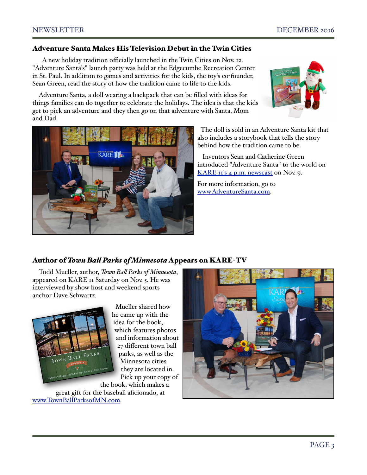#### Adventure Santa Makes His Television Debut in the Twin Cities

 A new holiday tradition officially launched in the Twin Cities on Nov. 12. "Adventure Santa's" launch party was held at the Edgecumbe Recreation Center in St. Paul. In addition to games and activities for the kids, the toy's co-founder, Sean Green, read the story of how the tradition came to life to the kids.

Adventure Santa, a doll wearing a backpack that can be filled with ideas for things families can do together to celebrate the holidays. The idea is that the kids get to pick an adventure and they then go on that adventure with Santa, Mom and Dad.





 The doll is sold in an Adventure Santa kit that also includes a storybook that tells the story behind how the tradition came to be.

 Inventors Sean and Catherine Green introduced "Adventure Santa" to the world on [KARE 11's 4 p.m. newscast](https://youtu.be/QRbRPgdYpEQ) on Nov. 9.

For more information, go to [www.AdventureSanta.com.](http://www.AdventureSanta.com)

#### Author of *Town Bal Parks of Minnesota* Appears on KARE-TV

Todd Mueller, author, *Town Bal Parks of Minnesota*, appeared on KARE 11 Saturday on Nov. 5. He was interviewed by show host and weekend sports anchor Dave Schwartz.



 Mueller shared how he came up with the idea for the book, which features photos and information about 27 different town ball parks, as well as the Minnesota cities they are located in. Pick up your copy of

the book, which makes a great gift for the baseball aficionado, at [www.TownBallParksofMN.com.](http://www.TownBallParksofMN.com)

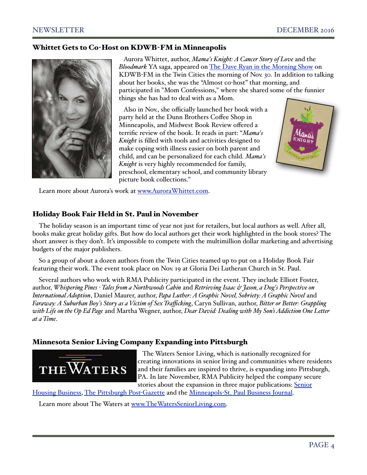#### Whittet Gets to Co-Host on KDWB-FM in Minneapolis



 Aurora Whittet, author, *Mama's Knight: A Cancer Story of Love* and the *Bloodmark* YA saga, appeared on [The Dave Ryan in the Morning Show](https://youtu.be/fo93getkHcc) on KDWB-FM in the Twin Cities the morning of Nov. 30. In addition to talking about her books, she was the "Almost co-host" that morning, and participated in "Mom Confessions," where she shared some of the funnier things she has had to deal with as a Mom.

 Also in Nov., she officially launched her book with a party held at the Dunn Brothers Coffee Shop in Minneapolis, and Midwest Book Review offered a terrific review of the book. It reads in part: "*Mama's Knight* is filled with tools and activities designed to make coping with illness easier on both parent and child, and can be personalized for each child. *Mama's Knight* is very highly recommended for family, preschool, elementary school, and community library picture book collections."



Learn more about Aurora's work at [www.AuroraWhittet.com.](http://www.AuroraWhittet.com)

#### Holiday Book Fair Held in St. Paul in November

The holiday season is an important time of year not just for retailers, but local authors as well. After all, books make great holiday gifts. But how do local authors get their work highlighted in the book stores? The short answer is they don't. It's impossible to compete with the multimillion dollar marketing and advertising budgets of the major publishers.

So a group of about a dozen authors from the Twin Cities teamed up to put on a Holiday Book Fair featuring their work. The event took place on Nov. 19 at Gloria Dei Lutheran Church in St. Paul.

Several authors who work with RMA Publicity participated in the event. They include Elliott Foster, author, *Whispering Pines - Tales fom a Northwoods Cabin* and *Retrieving Isaac & Jason, a Dog's Perspective on International Adoption*, Daniel Maurer, author, *Papa Luther: A Graphic Novel, Sobriety: A Graphic Novel* and *Faraway: A Suburban Boy's Story as a Victim of Sex Trafficking*, Caryn Sullivan, author, *Bitter or Better: Grappling with Life on the Op Ed Page* and Martha Wegner, author, *Dear David: Dealing with My Son's Addiction One Letter at a Time*.

#### Minnesota Senior Living Company Expanding into Pittsburgh



 The Waters Senior Living, which is nationally recognized for creating innovations in senior living and communities where residents and their families are inspired to thrive, is expanding into Pittsburgh, PA. In late November, RMA Publicity helped the company secure stories about the expansion in three major publications: Senior

[Housing Business,](http://www.seniorshousingbusiness.com/the-latest-news/the-waters-buys-18-acres-near-pittsburgh-to-build-38m-community) [The Pittsburgh Post](http://www.post-gazette.com/aging-edge/aging-edge-reports/2016/11/21/Senior-apartment-units-planned-in-Marshall/stories/201611210220)-Gazette and the Minneapols-[St. Paul Business Journal.](http://www.bizjournals.com/twincities/news/2016/11/28/the-waters-targets-pittsburgh-area-for-senior.html)

Learn more about The Waters at [www.TheWatersSeniorLiving.com.](http://www.TheWatersSeniorLiving.com)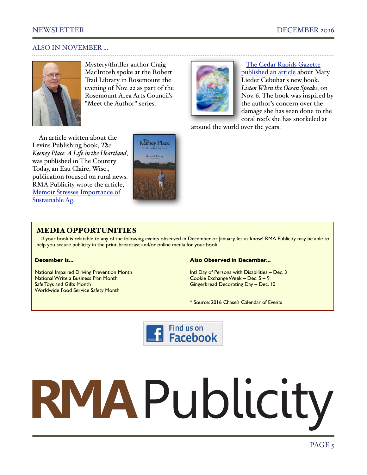#### ALSO IN NOVEMBER ...



Mystery/thriller author Craig MacIntosh spoke at the Robert Trail Library in Rosemount the evening of Nov. 22 as part of the Rosemount Area Arts Council's "Meet the Author" series.



 [The Cedar Rapids Gazette](http://www.thegazette.com/subject/life/books/authors/snorkeling-inspires-cedar-rapids-woman-to-create-book-to-benefit-ocean-conservation-efforts-20161106)  [published an article](http://www.thegazette.com/subject/life/books/authors/snorkeling-inspires-cedar-rapids-woman-to-create-book-to-benefit-ocean-conservation-efforts-20161106) about Mary Lieder Cebuhar's new book, *Listen When the Ocean Speaks*, on Nov. 6. The book was inspired by the author's concern over the damage she has seen done to the coral reefs she has snorkeled at

around the world over the years.

An article written about the Levins Publishing book, *The Keeney Place: A Life in the Heartland*, was published in The Country Today, an Eau Claire, Wisc., publication focused on rural news. RMA Publicity wrote the article, [Memoir Stresses Importance of](http://www.thecountrytoday.com/Country-Life/Country-Life-News/2016/11/07/Memoir-stresses-nbsp-importance-of-sustainable-ag.html)  [Sustainable Ag.](http://www.thecountrytoday.com/Country-Life/Country-Life-News/2016/11/07/Memoir-stresses-nbsp-importance-of-sustainable-ag.html)



#### MEDIA OPPORTUNITIES

If your book is relatable to any of the following events observed in December or January, let us know! RMA Publicity may be able to help you secure publicity in the print, broadcast and/or online media for your book.

#### **December is...**

National Impaired Driving Prevention Month National Write a Business Plan Month Safe Toys and Gifts Month Worldwide Food Service Safety Month

#### **Also Observed in December...**

Intl Day of Persons with Disabilities – Dec. 3 Cookie Exchange Week – Dec. 5 – 9 Gingerbread Decorating Day – Dec. 10

\* Source: 2016 Chase's Calendar of Events



# RMAPublicity